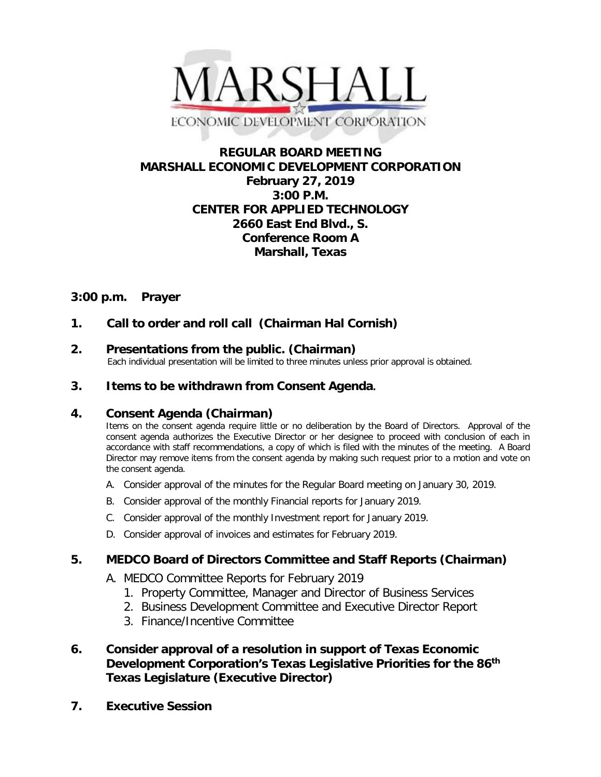

# **REGULAR BOARD MEETING MARSHALL ECONOMIC DEVELOPMENT CORPORATION February 27, 2019 3:00 P.M. CENTER FOR APPLIED TECHNOLOGY 2660 East End Blvd., S. Conference Room A Marshall, Texas**

# **3:00 p.m. Prayer**

## **1. Call to order and roll call (Chairman Hal Cornish)**

**2. Presentations from the public. (Chairman)**<br>Each individual presentation will be limited to three minutes unless prior approval is obtained.

## **3. Items to be withdrawn from Consent Agenda.**

### **4. Consent Agenda (Chairman)**

Items on the consent agenda require little or no deliberation by the Board of Directors. Approval of the consent agenda authorizes the Executive Director or her designee to proceed with conclusion of each in accordance with staff recommendations, a copy of which is filed with the minutes of the meeting. A Board Director may remove items from the consent agenda by making such request prior to a motion and vote on the consent agenda.

- A. Consider approval of the minutes for the Regular Board meeting on January 30, 2019.
- B. Consider approval of the monthly Financial reports for January 2019.
- C. Consider approval of the monthly Investment report for January 2019.
- D. Consider approval of invoices and estimates for February 2019.

## **5. MEDCO Board of Directors Committee and Staff Reports (Chairman)**

- A. MEDCO Committee Reports for February 2019
	- 1. Property Committee, Manager and Director of Business Services
	- 2. Business Development Committee and Executive Director Report
	- 3. Finance/Incentive Committee
- **6. Consider approval of a resolution in support of Texas Economic Development Corporation's Texas Legislative Priorities for the 86th Texas Legislature (Executive Director)**
- **7. Executive Session**